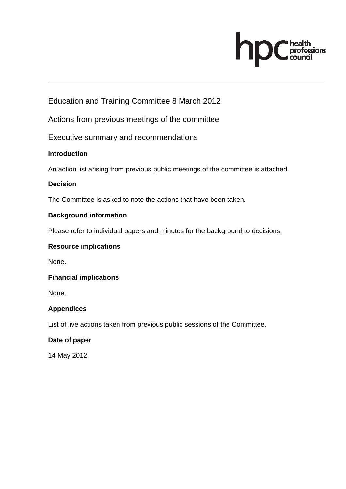# health<br>professions

Education and Training Committee 8 March 2012

Actions from previous meetings of the committee

Executive summary and recommendations

## **Introduction**

An action list arising from previous public meetings of the committee is attached.

## **Decision**

The Committee is asked to note the actions that have been taken.

## **Background information**

Please refer to individual papers and minutes for the background to decisions.

#### **Resource implications**

None.

## **Financial implications**

None.

## **Appendices**

List of live actions taken from previous public sessions of the Committee.

#### **Date of paper**

14 May 2012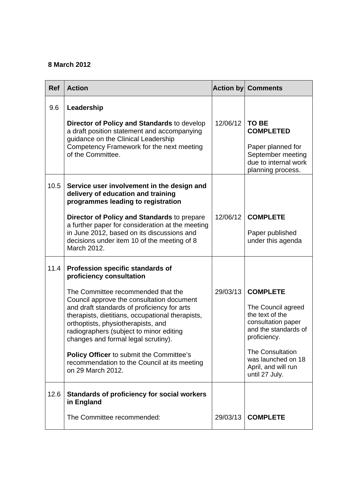# **8 March 2012**

| <b>Ref</b> | <b>Action</b>                                                                                                                                                                                                                                                                                                                                                                                                                      |          | <b>Action by Comments</b>                                                                                                                                                                                        |
|------------|------------------------------------------------------------------------------------------------------------------------------------------------------------------------------------------------------------------------------------------------------------------------------------------------------------------------------------------------------------------------------------------------------------------------------------|----------|------------------------------------------------------------------------------------------------------------------------------------------------------------------------------------------------------------------|
| 9.6        | Leadership                                                                                                                                                                                                                                                                                                                                                                                                                         |          |                                                                                                                                                                                                                  |
|            | Director of Policy and Standards to develop<br>a draft position statement and accompanying<br>guidance on the Clinical Leadership                                                                                                                                                                                                                                                                                                  | 12/06/12 | <b>TO BE</b><br><b>COMPLETED</b>                                                                                                                                                                                 |
|            | Competency Framework for the next meeting<br>of the Committee.                                                                                                                                                                                                                                                                                                                                                                     |          | Paper planned for<br>September meeting<br>due to internal work<br>planning process.                                                                                                                              |
| 10.5       | Service user involvement in the design and<br>delivery of education and training<br>programmes leading to registration                                                                                                                                                                                                                                                                                                             |          |                                                                                                                                                                                                                  |
|            | Director of Policy and Standards to prepare<br>a further paper for consideration at the meeting<br>in June 2012, based on its discussions and<br>decisions under item 10 of the meeting of 8<br>March 2012.                                                                                                                                                                                                                        | 12/06/12 | <b>COMPLETE</b><br>Paper published<br>under this agenda                                                                                                                                                          |
| 11.4       | Profession specific standards of<br>proficiency consultation                                                                                                                                                                                                                                                                                                                                                                       |          |                                                                                                                                                                                                                  |
|            | The Committee recommended that the<br>Council approve the consultation document<br>and draft standards of proficiency for arts<br>therapists, dietitians, occupational therapists,<br>orthoptists, physiotherapists, and<br>radiographers (subject to minor editing<br>changes and formal legal scrutiny).<br><b>Policy Officer</b> to submit the Committee's<br>recommendation to the Council at its meeting<br>on 29 March 2012. | 29/03/13 | <b>COMPLETE</b><br>The Council agreed<br>the text of the<br>consultation paper<br>and the standards of<br>proficiency.<br><b>The Consultation</b><br>was launched on 18<br>April, and will run<br>until 27 July. |
| 12.6       | Standards of proficiency for social workers<br>in England                                                                                                                                                                                                                                                                                                                                                                          |          |                                                                                                                                                                                                                  |
|            | The Committee recommended:                                                                                                                                                                                                                                                                                                                                                                                                         | 29/03/13 | <b>COMPLETE</b>                                                                                                                                                                                                  |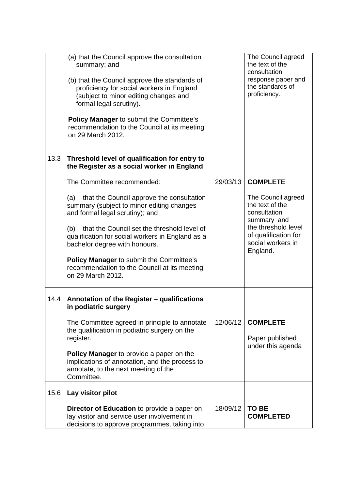|      | (a) that the Council approve the consultation<br>summary; and<br>(b) that the Council approve the standards of<br>proficiency for social workers in England<br>(subject to minor editing changes and<br>formal legal scrutiny).<br><b>Policy Manager to submit the Committee's</b><br>recommendation to the Council at its meeting<br>on 29 March 2012.                                          |          | The Council agreed<br>the text of the<br>consultation<br>response paper and<br>the standards of<br>proficiency.                                      |
|------|--------------------------------------------------------------------------------------------------------------------------------------------------------------------------------------------------------------------------------------------------------------------------------------------------------------------------------------------------------------------------------------------------|----------|------------------------------------------------------------------------------------------------------------------------------------------------------|
| 13.3 | Threshold level of qualification for entry to<br>the Register as a social worker in England                                                                                                                                                                                                                                                                                                      |          |                                                                                                                                                      |
|      | The Committee recommended:                                                                                                                                                                                                                                                                                                                                                                       | 29/03/13 | <b>COMPLETE</b>                                                                                                                                      |
|      | that the Council approve the consultation<br>(a)<br>summary (subject to minor editing changes<br>and formal legal scrutiny); and<br>(b) that the Council set the threshold level of<br>qualification for social workers in England as a<br>bachelor degree with honours.<br><b>Policy Manager to submit the Committee's</b><br>recommendation to the Council at its meeting<br>on 29 March 2012. |          | The Council agreed<br>the text of the<br>consultation<br>summary and<br>the threshold level<br>of qualification for<br>social workers in<br>England. |
| 14.4 | Annotation of the Register - qualifications<br>in podiatric surgery<br>The Committee agreed in principle to annotate<br>the qualification in podiatric surgery on the<br>register.<br>Policy Manager to provide a paper on the<br>implications of annotation, and the process to<br>annotate, to the next meeting of the<br>Committee.                                                           | 12/06/12 | <b>COMPLETE</b><br>Paper published<br>under this agenda                                                                                              |
| 15.6 | Lay visitor pilot                                                                                                                                                                                                                                                                                                                                                                                |          |                                                                                                                                                      |
|      | <b>Director of Education</b> to provide a paper on<br>lay visitor and service user involvement in<br>decisions to approve programmes, taking into                                                                                                                                                                                                                                                | 18/09/12 | <b>TO BE</b><br><b>COMPLETED</b>                                                                                                                     |